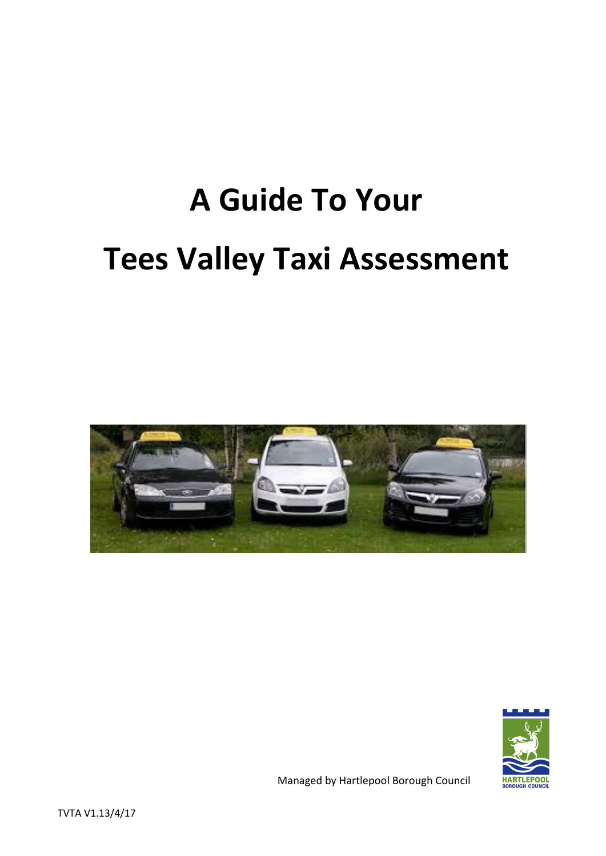# **A Guide To Your Tees Valley Taxi Assessment**





Managed by Hartlepool Borough Council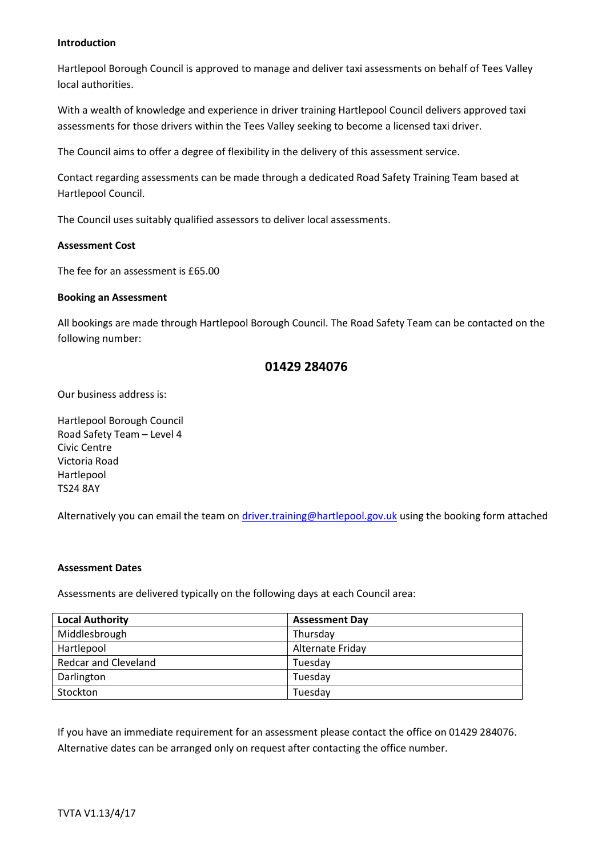#### **Introduction**

Hartlepool Borough Council is approved to manage and deliver taxi assessments on behalf of Tees Valley local authorities.

With a wealth of knowledge and experience in driver training Hartlepool Council delivers approved taxi assessments for those drivers within the Tees Valley seeking to become a licensed taxi driver.

The Council aims to offer a degree of flexibility in the delivery of this assessment service.

Contact regarding assessments can be made through a dedicated Road Safety Training Team based at Hartlepool Council.

The Council uses suitably qualified assessors to deliver local assessments.

#### **Assessment Cost**

The fee for an assessment is £65.00

#### **Booking an Assessment**

All bookings are made through Hartlepool Borough Council. The Road Safety Team can be contacted on the following number:

#### **01429 284076**

Our business address is:

Hartlepool Borough Council Road Safety Team – Level 4 Civic Centre Victoria Road Hartlepool TS24 8AY

Alternatively you can email the team on [driver.training@hartlepool.gov.uk](mailto:driver.training@hartlepool.gov.uk) using the booking form attached

#### **Assessment Dates**

Assessments are delivered typically on the following days at each Council area:

| <b>Local Authority</b>      | <b>Assessment Day</b> |
|-----------------------------|-----------------------|
| Middlesbrough               | Thursday              |
| Hartlepool                  | Alternate Friday      |
| <b>Redcar and Cleveland</b> | Tuesday               |
| Darlington                  | Tuesday               |
| Stockton                    | Tuesdav               |

If you have an immediate requirement for an assessment please contact the office on 01429 284076. Alternative dates can be arranged only on request after contacting the office number.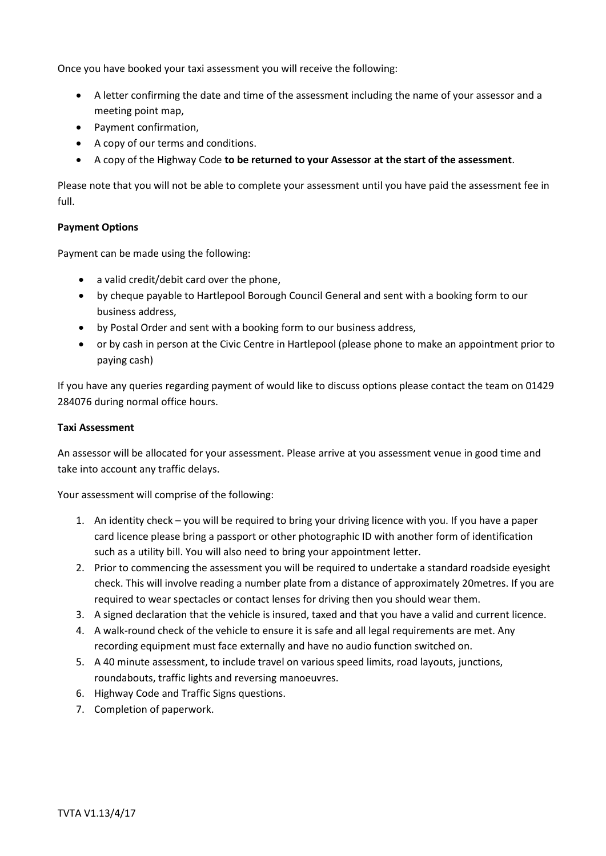Once you have booked your taxi assessment you will receive the following:

- A letter confirming the date and time of the assessment including the name of your assessor and a meeting point map,
- Payment confirmation,
- A copy of our terms and conditions.
- A copy of the Highway Code **to be returned to your Assessor at the start of the assessment**.

Please note that you will not be able to complete your assessment until you have paid the assessment fee in full.

#### **Payment Options**

Payment can be made using the following:

- a valid credit/debit card over the phone,
- by cheque payable to Hartlepool Borough Council General and sent with a booking form to our business address,
- by Postal Order and sent with a booking form to our business address,
- or by cash in person at the Civic Centre in Hartlepool (please phone to make an appointment prior to paying cash)

If you have any queries regarding payment of would like to discuss options please contact the team on 01429 284076 during normal office hours.

#### **Taxi Assessment**

An assessor will be allocated for your assessment. Please arrive at you assessment venue in good time and take into account any traffic delays.

Your assessment will comprise of the following:

- 1. An identity check you will be required to bring your driving licence with you. If you have a paper card licence please bring a passport or other photographic ID with another form of identification such as a utility bill. You will also need to bring your appointment letter.
- 2. Prior to commencing the assessment you will be required to undertake a standard roadside eyesight check. This will involve reading a number plate from a distance of approximately 20metres. If you are required to wear spectacles or contact lenses for driving then you should wear them.
- 3. A signed declaration that the vehicle is insured, taxed and that you have a valid and current licence.
- 4. A walk-round check of the vehicle to ensure it is safe and all legal requirements are met. Any recording equipment must face externally and have no audio function switched on.
- 5. A 40 minute assessment, to include travel on various speed limits, road layouts, junctions, roundabouts, traffic lights and reversing manoeuvres.
- 6. Highway Code and Traffic Signs questions.
- 7. Completion of paperwork.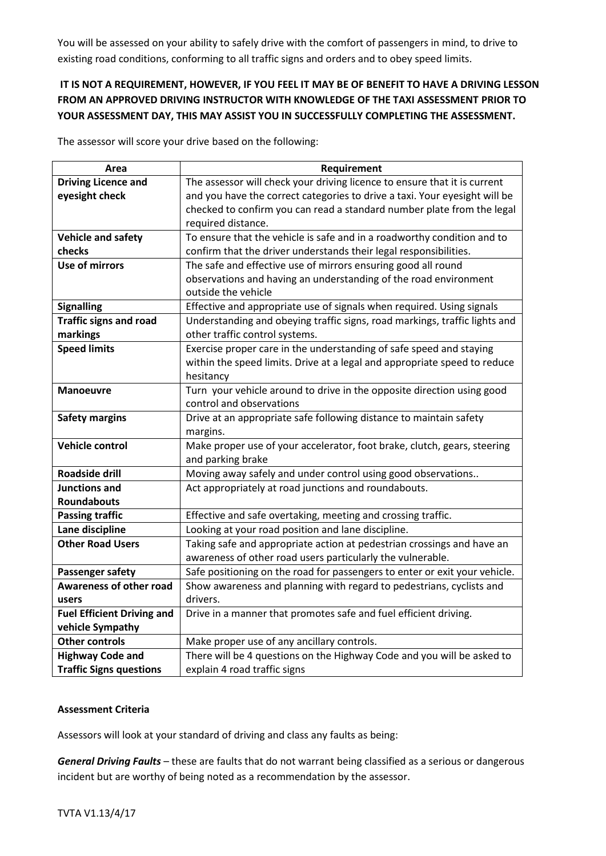You will be assessed on your ability to safely drive with the comfort of passengers in mind, to drive to existing road conditions, conforming to all traffic signs and orders and to obey speed limits.

### **IT IS NOT A REQUIREMENT, HOWEVER, IF YOU FEEL IT MAY BE OF BENEFIT TO HAVE A DRIVING LESSON FROM AN APPROVED DRIVING INSTRUCTOR WITH KNOWLEDGE OF THE TAXI ASSESSMENT PRIOR TO YOUR ASSESSMENT DAY, THIS MAY ASSIST YOU IN SUCCESSFULLY COMPLETING THE ASSESSMENT.**

The assessor will score your drive based on the following:

| Area                              | Requirement                                                                                   |
|-----------------------------------|-----------------------------------------------------------------------------------------------|
| <b>Driving Licence and</b>        | The assessor will check your driving licence to ensure that it is current                     |
| eyesight check                    | and you have the correct categories to drive a taxi. Your eyesight will be                    |
|                                   | checked to confirm you can read a standard number plate from the legal                        |
|                                   | required distance.                                                                            |
| <b>Vehicle and safety</b>         | To ensure that the vehicle is safe and in a roadworthy condition and to                       |
| checks                            | confirm that the driver understands their legal responsibilities.                             |
| <b>Use of mirrors</b>             | The safe and effective use of mirrors ensuring good all round                                 |
|                                   | observations and having an understanding of the road environment                              |
|                                   | outside the vehicle                                                                           |
| <b>Signalling</b>                 | Effective and appropriate use of signals when required. Using signals                         |
| <b>Traffic signs and road</b>     | Understanding and obeying traffic signs, road markings, traffic lights and                    |
| markings                          | other traffic control systems.                                                                |
| <b>Speed limits</b>               | Exercise proper care in the understanding of safe speed and staying                           |
|                                   | within the speed limits. Drive at a legal and appropriate speed to reduce                     |
|                                   | hesitancy                                                                                     |
| <b>Manoeuvre</b>                  | Turn your vehicle around to drive in the opposite direction using good                        |
|                                   | control and observations                                                                      |
| <b>Safety margins</b>             | Drive at an appropriate safe following distance to maintain safety                            |
| Vehicle control                   | margins.                                                                                      |
|                                   | Make proper use of your accelerator, foot brake, clutch, gears, steering<br>and parking brake |
| <b>Roadside drill</b>             | Moving away safely and under control using good observations                                  |
| <b>Junctions and</b>              | Act appropriately at road junctions and roundabouts.                                          |
| <b>Roundabouts</b>                |                                                                                               |
| <b>Passing traffic</b>            | Effective and safe overtaking, meeting and crossing traffic.                                  |
| Lane discipline                   | Looking at your road position and lane discipline.                                            |
| <b>Other Road Users</b>           | Taking safe and appropriate action at pedestrian crossings and have an                        |
|                                   | awareness of other road users particularly the vulnerable.                                    |
| <b>Passenger safety</b>           | Safe positioning on the road for passengers to enter or exit your vehicle.                    |
| <b>Awareness of other road</b>    | Show awareness and planning with regard to pedestrians, cyclists and                          |
| users                             | drivers.                                                                                      |
| <b>Fuel Efficient Driving and</b> | Drive in a manner that promotes safe and fuel efficient driving.                              |
| vehicle Sympathy                  |                                                                                               |
| <b>Other controls</b>             | Make proper use of any ancillary controls.                                                    |
| <b>Highway Code and</b>           | There will be 4 questions on the Highway Code and you will be asked to                        |
| <b>Traffic Signs questions</b>    | explain 4 road traffic signs                                                                  |

#### **Assessment Criteria**

Assessors will look at your standard of driving and class any faults as being:

*General Driving Faults* – these are faults that do not warrant being classified as a serious or dangerous incident but are worthy of being noted as a recommendation by the assessor.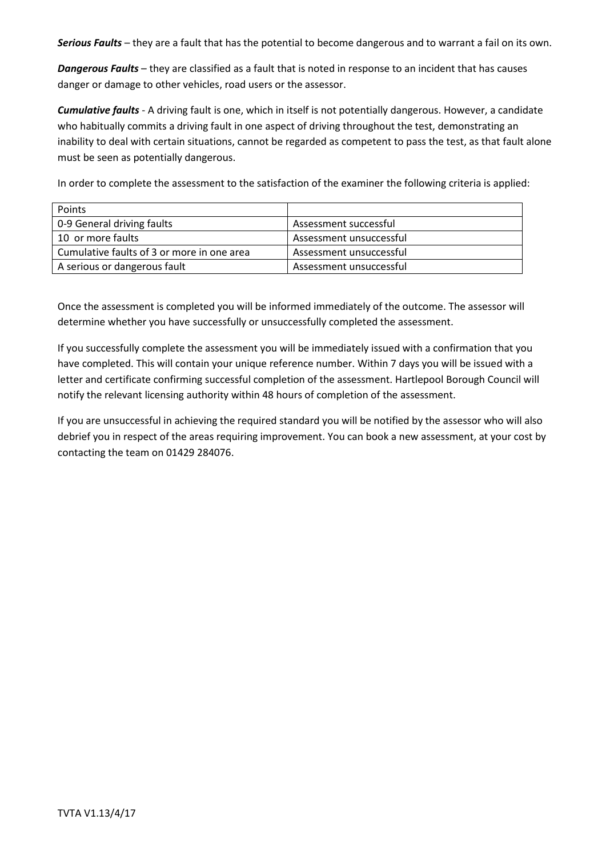*Serious Faults* – they are a fault that has the potential to become dangerous and to warrant a fail on its own.

*Dangerous Faults* – they are classified as a fault that is noted in response to an incident that has causes danger or damage to other vehicles, road users or the assessor.

*Cumulative faults* - A driving fault is one, which in itself is not potentially dangerous. However, a candidate who habitually commits a driving fault in one aspect of driving throughout the test, demonstrating an inability to deal with certain situations, cannot be regarded as competent to pass the test, as that fault alone must be seen as potentially dangerous.

In order to complete the assessment to the satisfaction of the examiner the following criteria is applied:

| Points                                     |                         |
|--------------------------------------------|-------------------------|
| 0-9 General driving faults                 | Assessment successful   |
| 10 or more faults                          | Assessment unsuccessful |
| Cumulative faults of 3 or more in one area | Assessment unsuccessful |
| A serious or dangerous fault               | Assessment unsuccessful |

Once the assessment is completed you will be informed immediately of the outcome. The assessor will determine whether you have successfully or unsuccessfully completed the assessment.

If you successfully complete the assessment you will be immediately issued with a confirmation that you have completed. This will contain your unique reference number. Within 7 days you will be issued with a letter and certificate confirming successful completion of the assessment. Hartlepool Borough Council will notify the relevant licensing authority within 48 hours of completion of the assessment.

If you are unsuccessful in achieving the required standard you will be notified by the assessor who will also debrief you in respect of the areas requiring improvement. You can book a new assessment, at your cost by contacting the team on 01429 284076.